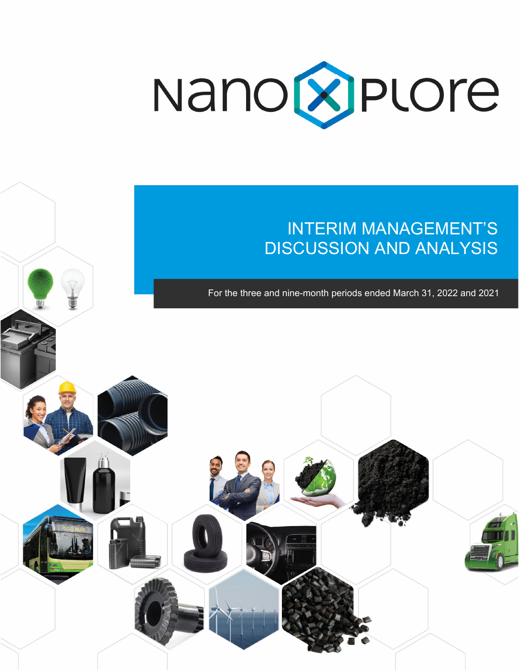

# INTERIM MANAGEMENT'S DISCUSSION AND ANALYSIS

For the three and nine-month periods ended March 31, 2022 and 2021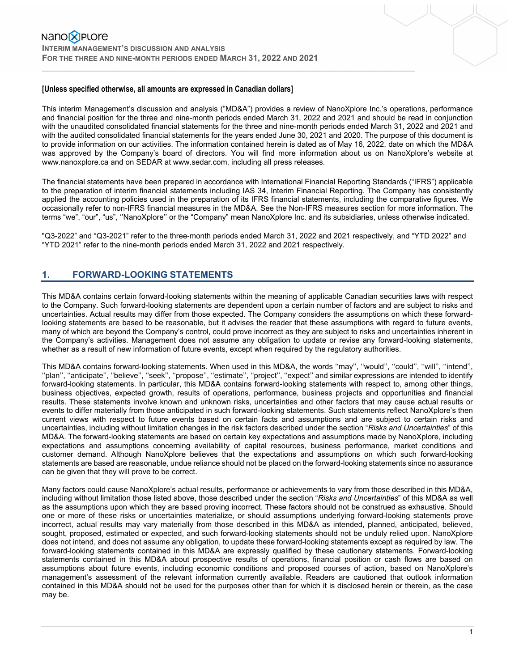#### **[Unless specified otherwise, all amounts are expressed in Canadian dollars]**

This interim Management's discussion and analysis ("MD&A") provides a review of NanoXplore Inc.'s operations, performance and financial position for the three and nine-month periods ended March 31, 2022 and 2021 and should be read in conjunction with the unaudited consolidated financial statements for the three and nine-month periods ended March 31, 2022 and 2021 and with the audited consolidated financial statements for the years ended June 30, 2021 and 2020. The purpose of this document is to provide information on our activities. The information contained herein is dated as of May 16, 2022, date on which the MD&A was approved by the Company's board of directors. You will find more information about us on NanoXplore's website at www.nanoxplore.ca and on SEDAR at www.sedar.com, including all press releases.

 $\mathcal{L}_\mathcal{L} = \{ \mathcal{L}_\mathcal{L} = \{ \mathcal{L}_\mathcal{L} = \{ \mathcal{L}_\mathcal{L} = \{ \mathcal{L}_\mathcal{L} = \{ \mathcal{L}_\mathcal{L} = \{ \mathcal{L}_\mathcal{L} = \{ \mathcal{L}_\mathcal{L} = \{ \mathcal{L}_\mathcal{L} = \{ \mathcal{L}_\mathcal{L} = \{ \mathcal{L}_\mathcal{L} = \{ \mathcal{L}_\mathcal{L} = \{ \mathcal{L}_\mathcal{L} = \{ \mathcal{L}_\mathcal{L} = \{ \mathcal{L}_\mathcal{$ 

The financial statements have been prepared in accordance with International Financial Reporting Standards ("IFRS") applicable to the preparation of interim financial statements including IAS 34, Interim Financial Reporting. The Company has consistently applied the accounting policies used in the preparation of its IFRS financial statements, including the comparative figures. We occasionally refer to non-IFRS financial measures in the MD&A. See the Non-IFRS measures section for more information. The terms "we", "our", "us", ''NanoXplore'' or the "Company" mean NanoXplore Inc. and its subsidiaries, unless otherwise indicated.

"Q3-2022" and "Q3-2021" refer to the three-month periods ended March 31, 2022 and 2021 respectively, and "YTD 2022" and "YTD 2021" refer to the nine-month periods ended March 31, 2022 and 2021 respectively.

## **1. FORWARD-LOOKING STATEMENTS**

This MD&A contains certain forward-looking statements within the meaning of applicable Canadian securities laws with respect to the Company. Such forward-looking statements are dependent upon a certain number of factors and are subject to risks and uncertainties. Actual results may differ from those expected. The Company considers the assumptions on which these forwardlooking statements are based to be reasonable, but it advises the reader that these assumptions with regard to future events, many of which are beyond the Company's control, could prove incorrect as they are subject to risks and uncertainties inherent in the Company's activities. Management does not assume any obligation to update or revise any forward-looking statements, whether as a result of new information of future events, except when required by the regulatory authorities.

This MD&A contains forward-looking statements. When used in this MD&A, the words ''may'', ''would'', ''could'', ''will'', ''intend'', ''plan'', ''anticipate'', ''believe'', ''seek'', ''propose'', ''estimate'', ''project'', ''expect'' and similar expressions are intended to identify forward-looking statements. In particular, this MD&A contains forward-looking statements with respect to, among other things, business objectives, expected growth, results of operations, performance, business projects and opportunities and financial results. These statements involve known and unknown risks, uncertainties and other factors that may cause actual results or events to differ materially from those anticipated in such forward-looking statements. Such statements reflect NanoXplore's then current views with respect to future events based on certain facts and assumptions and are subject to certain risks and uncertainties, including without limitation changes in the risk factors described under the section "*Risks and Uncertainties*" of this MD&A. The forward-looking statements are based on certain key expectations and assumptions made by NanoXplore, including expectations and assumptions concerning availability of capital resources, business performance, market conditions and customer demand. Although NanoXplore believes that the expectations and assumptions on which such forward-looking statements are based are reasonable, undue reliance should not be placed on the forward-looking statements since no assurance can be given that they will prove to be correct.

Many factors could cause NanoXplore's actual results, performance or achievements to vary from those described in this MD&A, including without limitation those listed above, those described under the section "*Risks and Uncertainties*" of this MD&A as well as the assumptions upon which they are based proving incorrect. These factors should not be construed as exhaustive. Should one or more of these risks or uncertainties materialize, or should assumptions underlying forward-looking statements prove incorrect, actual results may vary materially from those described in this MD&A as intended, planned, anticipated, believed, sought, proposed, estimated or expected, and such forward-looking statements should not be unduly relied upon. NanoXplore does not intend, and does not assume any obligation, to update these forward-looking statements except as required by law. The forward-looking statements contained in this MD&A are expressly qualified by these cautionary statements. Forward-looking statements contained in this MD&A about prospective results of operations, financial position or cash flows are based on assumptions about future events, including economic conditions and proposed courses of action, based on NanoXplore's management's assessment of the relevant information currently available. Readers are cautioned that outlook information contained in this MD&A should not be used for the purposes other than for which it is disclosed herein or therein, as the case may be.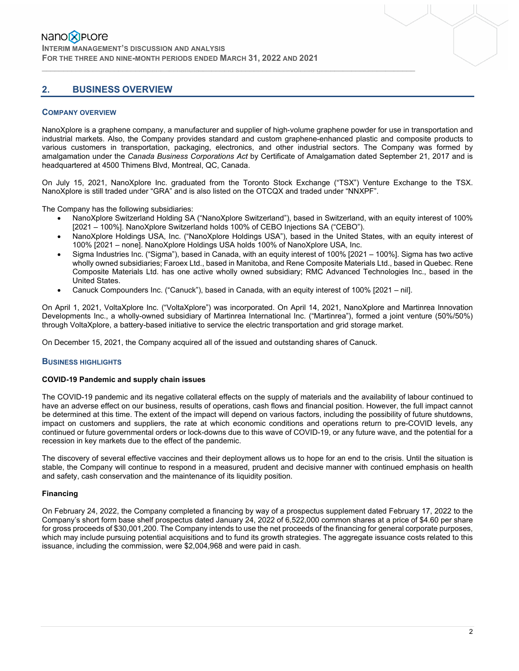# **2. BUSINESS OVERVIEW**

#### **COMPANY OVERVIEW**

NanoXplore is a graphene company, a manufacturer and supplier of high-volume graphene powder for use in transportation and industrial markets. Also, the Company provides standard and custom graphene-enhanced plastic and composite products to various customers in transportation, packaging, electronics, and other industrial sectors. The Company was formed by amalgamation under the *Canada Business Corporations Act* by Certificate of Amalgamation dated September 21, 2017 and is headquartered at 4500 Thimens Blvd, Montreal, QC, Canada.

 $\mathcal{L}_\mathcal{L} = \{ \mathcal{L}_\mathcal{L} = \{ \mathcal{L}_\mathcal{L} = \{ \mathcal{L}_\mathcal{L} = \{ \mathcal{L}_\mathcal{L} = \{ \mathcal{L}_\mathcal{L} = \{ \mathcal{L}_\mathcal{L} = \{ \mathcal{L}_\mathcal{L} = \{ \mathcal{L}_\mathcal{L} = \{ \mathcal{L}_\mathcal{L} = \{ \mathcal{L}_\mathcal{L} = \{ \mathcal{L}_\mathcal{L} = \{ \mathcal{L}_\mathcal{L} = \{ \mathcal{L}_\mathcal{L} = \{ \mathcal{L}_\mathcal{$ 

On July 15, 2021, NanoXplore Inc. graduated from the Toronto Stock Exchange ("TSX") Venture Exchange to the TSX. NanoXplore is still traded under "GRA" and is also listed on the OTCQX and traded under "NNXPF".

The Company has the following subsidiaries:

- NanoXplore Switzerland Holding SA ("NanoXplore Switzerland"), based in Switzerland, with an equity interest of 100% [2021 – 100%]. NanoXplore Switzerland holds 100% of CEBO Injections SA ("CEBO").
- NanoXplore Holdings USA, Inc. ("NanoXplore Holdings USA"), based in the United States, with an equity interest of 100% [2021 – none]. NanoXplore Holdings USA holds 100% of NanoXplore USA, Inc.
- Sigma Industries Inc. ("Sigma"), based in Canada, with an equity interest of 100% [2021 100%]. Sigma has two active wholly owned subsidiaries; Faroex Ltd., based in Manitoba, and Rene Composite Materials Ltd., based in Quebec. Rene Composite Materials Ltd. has one active wholly owned subsidiary; RMC Advanced Technologies Inc., based in the United States.
- Canuck Compounders Inc. ("Canuck"), based in Canada, with an equity interest of 100% [2021 nil].

On April 1, 2021, VoltaXplore Inc. ("VoltaXplore") was incorporated. On April 14, 2021, NanoXplore and Martinrea Innovation Developments Inc., a wholly-owned subsidiary of Martinrea International Inc. ("Martinrea"), formed a joint venture (50%/50%) through VoltaXplore, a battery-based initiative to service the electric transportation and grid storage market.

On December 15, 2021, the Company acquired all of the issued and outstanding shares of Canuck.

#### **BUSINESS HIGHLIGHTS**

#### **COVID-19 Pandemic and supply chain issues**

The COVID-19 pandemic and its negative collateral effects on the supply of materials and the availability of labour continued to have an adverse effect on our business, results of operations, cash flows and financial position. However, the full impact cannot be determined at this time. The extent of the impact will depend on various factors, including the possibility of future shutdowns, impact on customers and suppliers, the rate at which economic conditions and operations return to pre-COVID levels, any continued or future governmental orders or lock-downs due to this wave of COVID-19, or any future wave, and the potential for a recession in key markets due to the effect of the pandemic.

The discovery of several effective vaccines and their deployment allows us to hope for an end to the crisis. Until the situation is stable, the Company will continue to respond in a measured, prudent and decisive manner with continued emphasis on health and safety, cash conservation and the maintenance of its liquidity position.

#### **Financing**

On February 24, 2022, the Company completed a financing by way of a prospectus supplement dated February 17, 2022 to the Company's short form base shelf prospectus dated January 24, 2022 of 6,522,000 common shares at a price of \$4.60 per share for gross proceeds of \$30,001,200. The Company intends to use the net proceeds of the financing for general corporate purposes, which may include pursuing potential acquisitions and to fund its growth strategies. The aggregate issuance costs related to this issuance, including the commission, were \$2,004,968 and were paid in cash.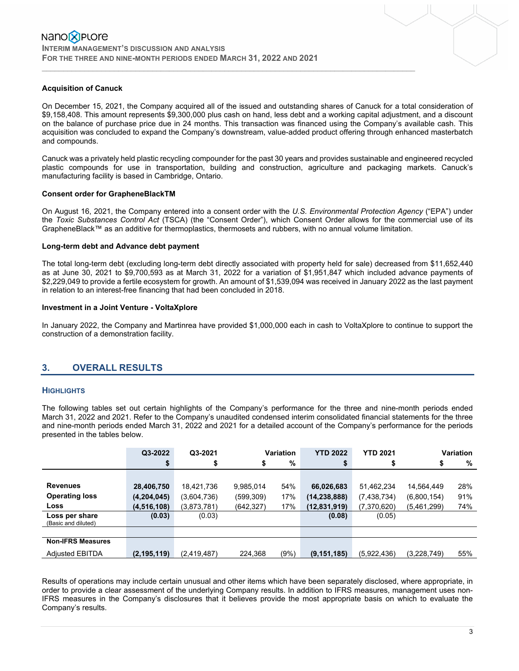#### **Acquisition of Canuck**

On December 15, 2021, the Company acquired all of the issued and outstanding shares of Canuck for a total consideration of \$9,158,408. This amount represents \$9,300,000 plus cash on hand, less debt and a working capital adjustment, and a discount on the balance of purchase price due in 24 months. This transaction was financed using the Company's available cash. This acquisition was concluded to expand the Company's downstream, value-added product offering through enhanced masterbatch and compounds.

 $\mathcal{L}_\mathcal{L} = \{ \mathcal{L}_\mathcal{L} = \{ \mathcal{L}_\mathcal{L} = \{ \mathcal{L}_\mathcal{L} = \{ \mathcal{L}_\mathcal{L} = \{ \mathcal{L}_\mathcal{L} = \{ \mathcal{L}_\mathcal{L} = \{ \mathcal{L}_\mathcal{L} = \{ \mathcal{L}_\mathcal{L} = \{ \mathcal{L}_\mathcal{L} = \{ \mathcal{L}_\mathcal{L} = \{ \mathcal{L}_\mathcal{L} = \{ \mathcal{L}_\mathcal{L} = \{ \mathcal{L}_\mathcal{L} = \{ \mathcal{L}_\mathcal{$ 

Canuck was a privately held plastic recycling compounder for the past 30 years and provides sustainable and engineered recycled plastic compounds for use in transportation, building and construction, agriculture and packaging markets. Canuck's manufacturing facility is based in Cambridge, Ontario.

#### **Consent order for GrapheneBlackTM**

On August 16, 2021, the Company entered into a consent order with the *U.S. Environmental Protection Agency* ("EPA") under the *Toxic Substances Control Act* (TSCA) (the "Consent Order"), which Consent Order allows for the commercial use of its GrapheneBlack™ as an additive for thermoplastics, thermosets and rubbers, with no annual volume limitation.

#### **Long-term debt and Advance debt payment**

The total long-term debt (excluding long-term debt directly associated with property held for sale) decreased from \$11,652,440 as at June 30, 2021 to \$9,700,593 as at March 31, 2022 for a variation of \$1,951,847 which included advance payments of \$2,229,049 to provide a fertile ecosystem for growth. An amount of \$1,539,094 was received in January 2022 as the last payment in relation to an interest-free financing that had been concluded in 2018.

#### **Investment in a Joint Venture - VoltaXplore**

In January 2022, the Company and Martinrea have provided \$1,000,000 each in cash to VoltaXplore to continue to support the construction of a demonstration facility.

# **3. OVERALL RESULTS**

#### **HIGHLIGHTS**

The following tables set out certain highlights of the Company's performance for the three and nine-month periods ended March 31, 2022 and 2021. Refer to the Company's unaudited condensed interim consolidated financial statements for the three and nine-month periods ended March 31, 2022 and 2021 for a detailed account of the Company's performance for the periods presented in the tables below.

|                          | Q3-2022       | Q3-2021     |           | Variation | <b>YTD 2022</b> | <b>YTD 2021</b> |             | <b>Variation</b> |
|--------------------------|---------------|-------------|-----------|-----------|-----------------|-----------------|-------------|------------------|
|                          | Œ             |             | \$        | %         | \$              | \$              | \$          | %                |
|                          |               |             |           |           |                 |                 |             |                  |
| <b>Revenues</b>          | 28,406,750    | 18,421,736  | 9,985,014 | 54%       | 66,026,683      | 51,462,234      | 14,564,449  | 28%              |
| <b>Operating loss</b>    | (4,204,045)   | (3,604,736) | (599,309) | 17%       | (14,238,888)    | (7, 438, 734)   | (6,800,154) | 91%              |
| <b>Loss</b>              | (4, 516, 108) | (3,873,781) | (642,327) | 17%       | (12,831,919)    | (7,370,620)     | (5,461,299) | 74%              |
| Loss per share           | (0.03)        | (0.03)      |           |           | (0.08)          | (0.05)          |             |                  |
| (Basic and diluted)      |               |             |           |           |                 |                 |             |                  |
| <b>Non-IFRS Measures</b> |               |             |           |           |                 |                 |             |                  |
| <b>Adiusted EBITDA</b>   | (2, 195, 119) | (2,419,487) | 224,368   | (9%)      | (9, 151, 185)   | (5,922,436)     | (3,228,749) | 55%              |

Results of operations may include certain unusual and other items which have been separately disclosed, where appropriate, in order to provide a clear assessment of the underlying Company results. In addition to IFRS measures, management uses non-IFRS measures in the Company's disclosures that it believes provide the most appropriate basis on which to evaluate the Company's results.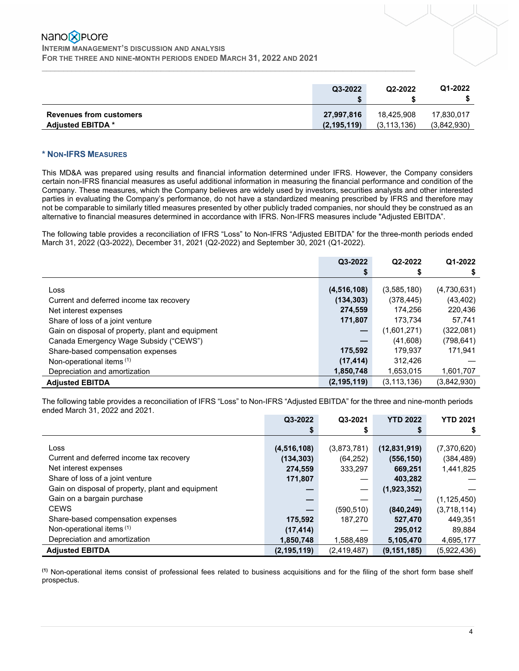### Nano**X** Plore **INTERIM MANAGEMENT'S DISCUSSION AND ANALYSIS FOR THE THREE AND NINE-MONTH PERIODS ENDED MARCH 31, 2022 AND 2021**

|                                | Q3-2022       | Q2-2022       | Q1-2022     |
|--------------------------------|---------------|---------------|-------------|
| <b>Revenues from customers</b> | 27,997,816    | 18,425,908    | 17,830,017  |
| <b>Adjusted EBITDA *</b>       | (2, 195, 119) | (3, 113, 136) | (3,842,930) |

 $\mathcal{L}_\mathcal{L} = \{ \mathcal{L}_\mathcal{L} = \{ \mathcal{L}_\mathcal{L} = \{ \mathcal{L}_\mathcal{L} = \{ \mathcal{L}_\mathcal{L} = \{ \mathcal{L}_\mathcal{L} = \{ \mathcal{L}_\mathcal{L} = \{ \mathcal{L}_\mathcal{L} = \{ \mathcal{L}_\mathcal{L} = \{ \mathcal{L}_\mathcal{L} = \{ \mathcal{L}_\mathcal{L} = \{ \mathcal{L}_\mathcal{L} = \{ \mathcal{L}_\mathcal{L} = \{ \mathcal{L}_\mathcal{L} = \{ \mathcal{L}_\mathcal{$ 

#### **\* NON-IFRS MEASURES**

This MD&A was prepared using results and financial information determined under IFRS. However, the Company considers certain non-IFRS financial measures as useful additional information in measuring the financial performance and condition of the Company. These measures, which the Company believes are widely used by investors, securities analysts and other interested parties in evaluating the Company's performance, do not have a standardized meaning prescribed by IFRS and therefore may not be comparable to similarly titled measures presented by other publicly traded companies, nor should they be construed as an alternative to financial measures determined in accordance with IFRS. Non-IFRS measures include "Adjusted EBITDA".

The following table provides a reconciliation of IFRS "Loss" to Non-IFRS "Adjusted EBITDA" for the three-month periods ended March 31, 2022 (Q3-2022), December 31, 2021 (Q2-2022) and September 30, 2021 (Q1-2022).

|                                                                                       | Q3-2022               | Q2-2022                | Q1-2022              |
|---------------------------------------------------------------------------------------|-----------------------|------------------------|----------------------|
|                                                                                       |                       | S                      | \$                   |
| Loss                                                                                  | (4, 516, 108)         | (3,585,180)            | (4,730,631)          |
| Current and deferred income tax recovery<br>Net interest expenses                     | (134, 303)<br>274,559 | (378, 445)<br>174.256  | (43, 402)<br>220,436 |
| Share of loss of a joint venture<br>Gain on disposal of property, plant and equipment | 171,807               | 173,734<br>(1,601,271) | 57,741<br>(322,081)  |
| Canada Emergency Wage Subsidy ("CEWS")                                                |                       | (41,608)               | (798,641)            |
| Share-based compensation expenses                                                     | 175,592               | 179,937                | 171,941              |
| Non-operational items (1)                                                             | (17, 414)             | 312.426                |                      |
| Depreciation and amortization                                                         | 1,850,748             | 1,653,015              | 1,601,707            |
| <b>Adiusted EBITDA</b>                                                                | (2, 195, 119)         | (3, 113, 136)          | (3,842,930)          |

The following table provides a reconciliation of IFRS "Loss" to Non-IFRS "Adjusted EBITDA" for the three and nine-month periods ended March 31, 2022 and 2021.

|                                                   | Q3-2022       | Q3-2021     | <b>YTD 2022</b> | <b>YTD 2021</b> |
|---------------------------------------------------|---------------|-------------|-----------------|-----------------|
|                                                   | \$            |             | \$              |                 |
| Loss                                              |               |             |                 |                 |
|                                                   | (4, 516, 108) | (3,873,781) | (12, 831, 919)  | (7,370,620)     |
| Current and deferred income tax recovery          | (134, 303)    | (64, 252)   | (556, 150)      | (384, 489)      |
| Net interest expenses                             | 274,559       | 333.297     | 669,251         | 1,441,825       |
| Share of loss of a joint venture                  | 171,807       |             | 403,282         |                 |
| Gain on disposal of property, plant and equipment |               |             | (1,923,352)     |                 |
| Gain on a bargain purchase                        |               |             |                 | (1, 125, 450)   |
| <b>CEWS</b>                                       |               | (590, 510)  | (840, 249)      | (3,718,114)     |
| Share-based compensation expenses                 | 175,592       | 187,270     | 527,470         | 449,351         |
| Non-operational items (1)                         | (17, 414)     |             | 295,012         | 89,884          |
| Depreciation and amortization                     | 1,850,748     | 1,588,489   | 5,105,470       | 4,695,177       |
| <b>Adjusted EBITDA</b>                            | (2, 195, 119) | (2,419,487) | (9, 151, 185)   | (5,922,436)     |

**(1)** Non-operational items consist of professional fees related to business acquisitions and for the filing of the short form base shelf prospectus.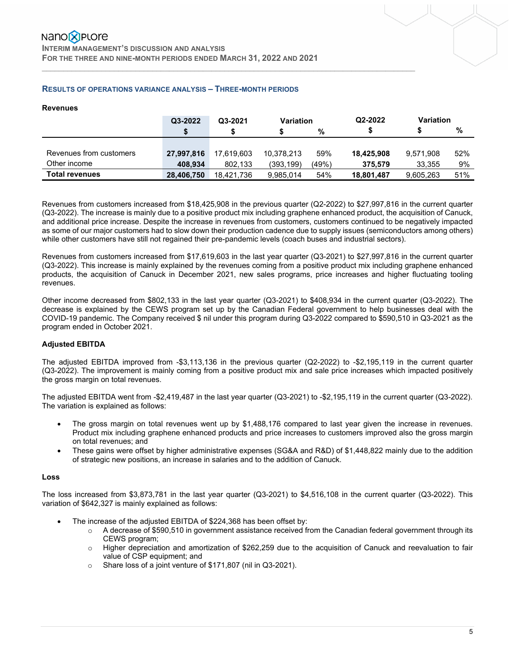# Nano**X** Plore

**INTERIM MANAGEMENT'S DISCUSSION AND ANALYSIS FOR THE THREE AND NINE-MONTH PERIODS ENDED MARCH 31, 2022 AND 2021** 

#### **RESULTS OF OPERATIONS VARIANCE ANALYSIS – THREE-MONTH PERIODS**

#### **Revenues**

|                         | Q3-2022    | Q3-2021    | <b>Variation</b> |       | Q2-2022    | <b>Variation</b> |     |
|-------------------------|------------|------------|------------------|-------|------------|------------------|-----|
|                         | \$         |            |                  | %     |            |                  | %   |
|                         |            |            |                  |       |            |                  |     |
| Revenues from customers | 27,997,816 | 17.619.603 | 10.378.213       | 59%   | 18,425,908 | 9,571,908        | 52% |
| Other income            | 408.934    | 802.133    | (393, 199)       | (49%) | 375.579    | 33.355           | 9%  |
| <b>Total revenues</b>   | 28.406.750 | 18.421.736 | 9,985,014        | 54%   | 18,801,487 | 9,605,263        | 51% |

 $\mathcal{L}_\mathcal{L} = \{ \mathcal{L}_\mathcal{L} = \{ \mathcal{L}_\mathcal{L} = \{ \mathcal{L}_\mathcal{L} = \{ \mathcal{L}_\mathcal{L} = \{ \mathcal{L}_\mathcal{L} = \{ \mathcal{L}_\mathcal{L} = \{ \mathcal{L}_\mathcal{L} = \{ \mathcal{L}_\mathcal{L} = \{ \mathcal{L}_\mathcal{L} = \{ \mathcal{L}_\mathcal{L} = \{ \mathcal{L}_\mathcal{L} = \{ \mathcal{L}_\mathcal{L} = \{ \mathcal{L}_\mathcal{L} = \{ \mathcal{L}_\mathcal{$ 

Revenues from customers increased from \$18,425,908 in the previous quarter (Q2-2022) to \$27,997,816 in the current quarter (Q3-2022). The increase is mainly due to a positive product mix including graphene enhanced product, the acquisition of Canuck, and additional price increase. Despite the increase in revenues from customers, customers continued to be negatively impacted as some of our major customers had to slow down their production cadence due to supply issues (semiconductors among others) while other customers have still not regained their pre-pandemic levels (coach buses and industrial sectors).

Revenues from customers increased from \$17,619,603 in the last year quarter (Q3-2021) to \$27,997,816 in the current quarter (Q3-2022). This increase is mainly explained by the revenues coming from a positive product mix including graphene enhanced products, the acquisition of Canuck in December 2021, new sales programs, price increases and higher fluctuating tooling revenues.

Other income decreased from \$802,133 in the last year quarter (Q3-2021) to \$408,934 in the current quarter (Q3-2022). The decrease is explained by the CEWS program set up by the Canadian Federal government to help businesses deal with the COVID-19 pandemic. The Company received \$ nil under this program during Q3-2022 compared to \$590,510 in Q3-2021 as the program ended in October 2021.

#### **Adjusted EBITDA**

The adjusted EBITDA improved from -\$3,113,136 in the previous quarter (Q2-2022) to -\$2,195,119 in the current quarter (Q3-2022). The improvement is mainly coming from a positive product mix and sale price increases which impacted positively the gross margin on total revenues.

The adjusted EBITDA went from -\$2,419,487 in the last year quarter (Q3-2021) to -\$2,195,119 in the current quarter (Q3-2022). The variation is explained as follows:

- The gross margin on total revenues went up by \$1,488,176 compared to last year given the increase in revenues. Product mix including graphene enhanced products and price increases to customers improved also the gross margin on total revenues; and
- These gains were offset by higher administrative expenses (SG&A and R&D) of \$1,448,822 mainly due to the addition of strategic new positions, an increase in salaries and to the addition of Canuck.

#### **Loss**

The loss increased from \$3,873,781 in the last year quarter (Q3-2021) to \$4,516,108 in the current quarter (Q3-2022). This variation of \$642,327 is mainly explained as follows:

- The increase of the adjusted EBITDA of \$224,368 has been offset by:
	- $\circ$  A decrease of \$590,510 in government assistance received from the Canadian federal government through its CEWS program;
	- o Higher depreciation and amortization of \$262,259 due to the acquisition of Canuck and reevaluation to fair value of CSP equipment; and
	- o Share loss of a joint venture of \$171,807 (nil in Q3-2021).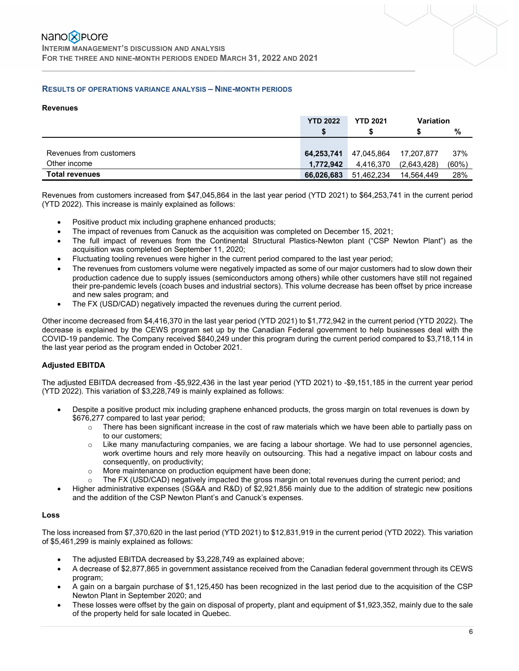#### **RESULTS OF OPERATIONS VARIANCE ANALYSIS – NINE-MONTH PERIODS**

#### **Revenues**

|                         | <b>YTD 2022</b> | <b>YTD 2021</b> | <b>Variation</b> |       |
|-------------------------|-----------------|-----------------|------------------|-------|
|                         | \$              |                 |                  | %     |
|                         |                 |                 |                  |       |
| Revenues from customers | 64,253,741      | 47,045,864      | 17,207,877       | 37%   |
| Other income            | 1,772,942       | 4,416,370       | (2,643,428)      | (60%) |
| <b>Total revenues</b>   | 66,026,683      | 51,462,234      | 14.564.449       | 28%   |

Revenues from customers increased from \$47,045,864 in the last year period (YTD 2021) to \$64,253,741 in the current period (YTD 2022). This increase is mainly explained as follows:

- Positive product mix including graphene enhanced products;
- The impact of revenues from Canuck as the acquisition was completed on December 15, 2021;

 $\mathcal{L}_\mathcal{L} = \{ \mathcal{L}_\mathcal{L} = \{ \mathcal{L}_\mathcal{L} = \{ \mathcal{L}_\mathcal{L} = \{ \mathcal{L}_\mathcal{L} = \{ \mathcal{L}_\mathcal{L} = \{ \mathcal{L}_\mathcal{L} = \{ \mathcal{L}_\mathcal{L} = \{ \mathcal{L}_\mathcal{L} = \{ \mathcal{L}_\mathcal{L} = \{ \mathcal{L}_\mathcal{L} = \{ \mathcal{L}_\mathcal{L} = \{ \mathcal{L}_\mathcal{L} = \{ \mathcal{L}_\mathcal{L} = \{ \mathcal{L}_\mathcal{$ 

- The full impact of revenues from the Continental Structural Plastics-Newton plant ("CSP Newton Plant") as the acquisition was completed on September 11, 2020;
- Fluctuating tooling revenues were higher in the current period compared to the last year period;
- The revenues from customers volume were negatively impacted as some of our major customers had to slow down their production cadence due to supply issues (semiconductors among others) while other customers have still not regained their pre-pandemic levels (coach buses and industrial sectors). This volume decrease has been offset by price increase and new sales program; and
- The FX (USD/CAD) negatively impacted the revenues during the current period.

Other income decreased from \$4,416,370 in the last year period (YTD 2021) to \$1,772,942 in the current period (YTD 2022). The decrease is explained by the CEWS program set up by the Canadian Federal government to help businesses deal with the COVID-19 pandemic. The Company received \$840,249 under this program during the current period compared to \$3,718,114 in the last year period as the program ended in October 2021.

#### **Adjusted EBITDA**

The adjusted EBITDA decreased from -\$5,922,436 in the last year period (YTD 2021) to -\$9,151,185 in the current year period (YTD 2022). This variation of \$3,228,749 is mainly explained as follows:

- Despite a positive product mix including graphene enhanced products, the gross margin on total revenues is down by \$676,277 compared to last year period;
	- $\circ$  There has been significant increase in the cost of raw materials which we have been able to partially pass on to our customers;
	- $\circ$  Like many manufacturing companies, we are facing a labour shortage. We had to use personnel agencies, work overtime hours and rely more heavily on outsourcing. This had a negative impact on labour costs and consequently, on productivity;
	- o More maintenance on production equipment have been done;
	- o The FX (USD/CAD) negatively impacted the gross margin on total revenues during the current period; and
- Higher administrative expenses (SG&A and R&D) of \$2,921,856 mainly due to the addition of strategic new positions and the addition of the CSP Newton Plant's and Canuck's expenses.

#### **Loss**

The loss increased from \$7,370,620 in the last period (YTD 2021) to \$12,831,919 in the current period (YTD 2022). This variation of \$5,461,299 is mainly explained as follows:

- The adjusted EBITDA decreased by \$3,228,749 as explained above;
- A decrease of \$2,877,865 in government assistance received from the Canadian federal government through its CEWS program;
- A gain on a bargain purchase of \$1,125,450 has been recognized in the last period due to the acquisition of the CSP Newton Plant in September 2020; and
- These losses were offset by the gain on disposal of property, plant and equipment of \$1,923,352, mainly due to the sale of the property held for sale located in Quebec.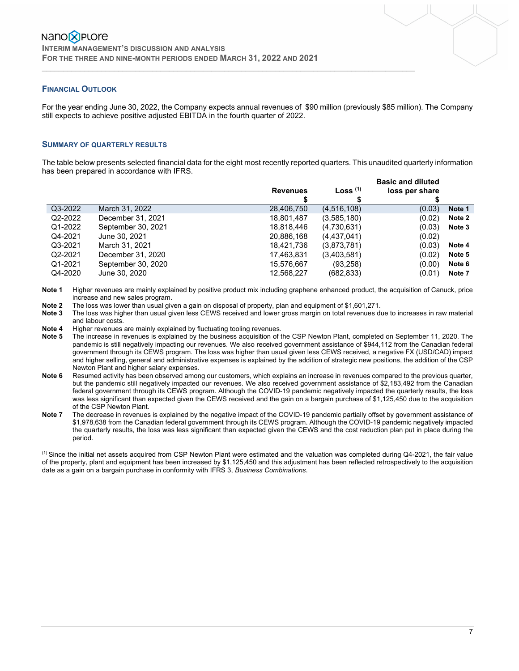#### **FINANCIAL OUTLOOK**

For the year ending June 30, 2022, the Company expects annual revenues of \$90 million (previously \$85 million). The Company still expects to achieve positive adjusted EBITDA in the fourth quarter of 2022.

 $\mathcal{L}_\mathcal{L} = \{ \mathcal{L}_\mathcal{L} = \{ \mathcal{L}_\mathcal{L} = \{ \mathcal{L}_\mathcal{L} = \{ \mathcal{L}_\mathcal{L} = \{ \mathcal{L}_\mathcal{L} = \{ \mathcal{L}_\mathcal{L} = \{ \mathcal{L}_\mathcal{L} = \{ \mathcal{L}_\mathcal{L} = \{ \mathcal{L}_\mathcal{L} = \{ \mathcal{L}_\mathcal{L} = \{ \mathcal{L}_\mathcal{L} = \{ \mathcal{L}_\mathcal{L} = \{ \mathcal{L}_\mathcal{L} = \{ \mathcal{L}_\mathcal{$ 

#### **SUMMARY OF QUARTERLY RESULTS**

The table below presents selected financial data for the eight most recently reported quarters. This unaudited quarterly information has been prepared in accordance with IFRS.

|         |                    | <b>Revenues</b> | Loss $(1)$    | <b>Basic and diluted</b><br>loss per share |        |
|---------|--------------------|-----------------|---------------|--------------------------------------------|--------|
| Q3-2022 | March 31, 2022     | 28,406,750      | (4, 516, 108) | (0.03)                                     | Note 1 |
| Q2-2022 | December 31, 2021  | 18,801,487      | (3,585,180)   | (0.02)                                     | Note 2 |
| Q1-2022 | September 30, 2021 | 18,818,446      | (4,730,631)   | (0.03)                                     | Note 3 |
| Q4-2021 | June 30, 2021      | 20,886,168      | (4,437,041)   | (0.02)                                     |        |
| Q3-2021 | March 31, 2021     | 18,421,736      | (3,873,781)   | (0.03)                                     | Note 4 |
| Q2-2021 | December 31, 2020  | 17,463,831      | (3,403,581)   | (0.02)                                     | Note 5 |
| Q1-2021 | September 30, 2020 | 15,576,667      | (93, 258)     | (0.00)                                     | Note 6 |
| Q4-2020 | June 30, 2020      | 12,568,227      | (682,833)     | (0.01)                                     | Note 7 |

**Note 1** Higher revenues are mainly explained by positive product mix including graphene enhanced product, the acquisition of Canuck, price increase and new sales program.

**Note 2** The loss was lower than usual given a gain on disposal of property, plan and equipment of \$1,601,271.

**Note 3** The loss was higher than usual given less CEWS received and lower gross margin on total revenues due to increases in raw material and labour costs.

**Note 4** Higher revenues are mainly explained by fluctuating tooling revenues.

**Note 5** The increase in revenues is explained by the business acquisition of the CSP Newton Plant, completed on September 11, 2020. The pandemic is still negatively impacting our revenues. We also received government assistance of \$944,112 from the Canadian federal government through its CEWS program. The loss was higher than usual given less CEWS received, a negative FX (USD/CAD) impact and higher selling, general and administrative expenses is explained by the addition of strategic new positions, the addition of the CSP Newton Plant and higher salary expenses.

**Note 6** Resumed activity has been observed among our customers, which explains an increase in revenues compared to the previous quarter, but the pandemic still negatively impacted our revenues. We also received government assistance of \$2,183,492 from the Canadian federal government through its CEWS program. Although the COVID-19 pandemic negatively impacted the quarterly results, the loss was less significant than expected given the CEWS received and the gain on a bargain purchase of \$1,125,450 due to the acquisition of the CSP Newton Plant.

**Note 7** The decrease in revenues is explained by the negative impact of the COVID-19 pandemic partially offset by government assistance of \$1,978,638 from the Canadian federal government through its CEWS program. Although the COVID-19 pandemic negatively impacted the quarterly results, the loss was less significant than expected given the CEWS and the cost reduction plan put in place during the period.

 $<sup>(1)</sup>$  Since the initial net assets acquired from CSP Newton Plant were estimated and the valuation was completed during Q4-2021, the fair value</sup> of the property, plant and equipment has been increased by \$1,125,450 and this adjustment has been reflected retrospectively to the acquisition date as a gain on a bargain purchase in conformity with IFRS 3, *Business Combinations*.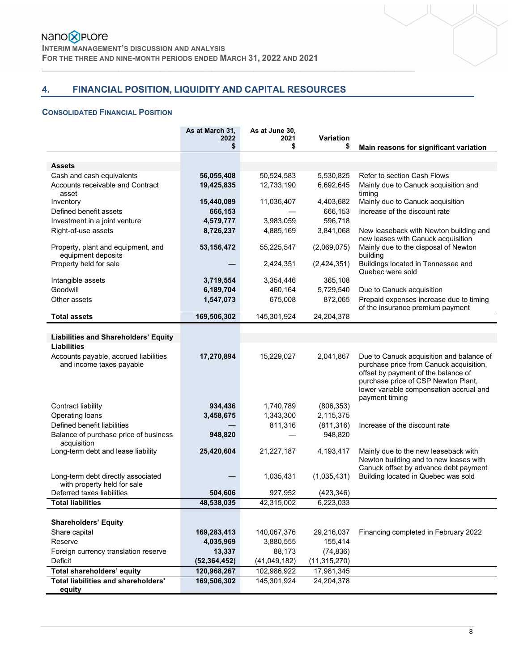# Nano<sup>8</sup>PLOre

**INTERIM MANAGEMENT'S DISCUSSION AND ANALYSIS FOR THE THREE AND NINE-MONTH PERIODS ENDED MARCH 31, 2022 AND 2021** 

# **4. FINANCIAL POSITION, LIQUIDITY AND CAPITAL RESOURCES**

 $\mathcal{L}_\mathcal{L} = \{ \mathcal{L}_\mathcal{L} = \{ \mathcal{L}_\mathcal{L} = \{ \mathcal{L}_\mathcal{L} = \{ \mathcal{L}_\mathcal{L} = \{ \mathcal{L}_\mathcal{L} = \{ \mathcal{L}_\mathcal{L} = \{ \mathcal{L}_\mathcal{L} = \{ \mathcal{L}_\mathcal{L} = \{ \mathcal{L}_\mathcal{L} = \{ \mathcal{L}_\mathcal{L} = \{ \mathcal{L}_\mathcal{L} = \{ \mathcal{L}_\mathcal{L} = \{ \mathcal{L}_\mathcal{L} = \{ \mathcal{L}_\mathcal{$ 

#### **CONSOLIDATED FINANCIAL POSITION**

|                                                                   | As at March 31.<br>2022 | As at June 30,<br>2021 | Variation      |                                                                                                                                                                                                                                |
|-------------------------------------------------------------------|-------------------------|------------------------|----------------|--------------------------------------------------------------------------------------------------------------------------------------------------------------------------------------------------------------------------------|
|                                                                   | \$                      | \$                     | \$             | Main reasons for significant variation                                                                                                                                                                                         |
|                                                                   |                         |                        |                |                                                                                                                                                                                                                                |
| <b>Assets</b>                                                     |                         |                        |                |                                                                                                                                                                                                                                |
| Cash and cash equivalents                                         | 56,055,408              | 50,524,583             | 5,530,825      | Refer to section Cash Flows                                                                                                                                                                                                    |
| Accounts receivable and Contract<br>asset                         | 19,425,835              | 12,733,190             | 6,692,645      | Mainly due to Canuck acquisition and<br>timing                                                                                                                                                                                 |
| Inventory                                                         | 15,440,089              | 11,036,407             | 4,403,682      | Mainly due to Canuck acquisition                                                                                                                                                                                               |
| Defined benefit assets                                            | 666,153                 |                        | 666,153        | Increase of the discount rate                                                                                                                                                                                                  |
| Investment in a joint venture                                     | 4,579,777               | 3,983,059              | 596,718        |                                                                                                                                                                                                                                |
| Right-of-use assets                                               | 8,726,237               | 4,885,169              | 3,841,068      | New leaseback with Newton building and<br>new leases with Canuck acquisition                                                                                                                                                   |
| Property, plant and equipment, and<br>equipment deposits          | 53, 156, 472            | 55,225,547             | (2,069,075)    | Mainly due to the disposal of Newton<br>building                                                                                                                                                                               |
| Property held for sale                                            |                         | 2,424,351              | (2,424,351)    | Buildings located in Tennessee and<br>Quebec were sold                                                                                                                                                                         |
| Intangible assets                                                 | 3,719,554               | 3,354,446              | 365,108        |                                                                                                                                                                                                                                |
| Goodwill                                                          | 6,189,704               | 460,164                | 5,729,540      | Due to Canuck acquisition                                                                                                                                                                                                      |
| Other assets                                                      | 1,547,073               | 675,008                | 872,065        | Prepaid expenses increase due to timing<br>of the insurance premium payment                                                                                                                                                    |
| <b>Total assets</b>                                               | 169,506,302             | 145,301,924            | 24,204,378     |                                                                                                                                                                                                                                |
|                                                                   |                         |                        |                |                                                                                                                                                                                                                                |
| <b>Liabilities and Shareholders' Equity</b>                       |                         |                        |                |                                                                                                                                                                                                                                |
| <b>Liabilities</b>                                                |                         |                        |                |                                                                                                                                                                                                                                |
| Accounts payable, accrued liabilities<br>and income taxes payable | 17,270,894              | 15,229,027             | 2,041,867      | Due to Canuck acquisition and balance of<br>purchase price from Canuck acquisition,<br>offset by payment of the balance of<br>purchase price of CSP Newton Plant,<br>lower variable compensation accrual and<br>payment timing |
| Contract liability                                                | 934,436                 | 1,740,789              | (806, 353)     |                                                                                                                                                                                                                                |
| Operating loans                                                   | 3,458,675               | 1,343,300              | 2,115,375      |                                                                                                                                                                                                                                |
| Defined benefit liabilities                                       |                         | 811,316                | (811, 316)     | Increase of the discount rate                                                                                                                                                                                                  |
| Balance of purchase price of business<br>acquisition              | 948,820                 |                        | 948,820        |                                                                                                                                                                                                                                |
| Long-term debt and lease liability                                | 25,420,604              | 21,227,187             | 4,193,417      | Mainly due to the new leaseback with<br>Newton building and to new leases with                                                                                                                                                 |
| Long-term debt directly associated<br>with property held for sale |                         | 1,035,431              | (1,035,431)    | Canuck offset by advance debt payment<br>Building located in Quebec was sold                                                                                                                                                   |
| Deferred taxes liabilities                                        | 504,606                 | 927,952                | (423, 346)     |                                                                                                                                                                                                                                |
| <b>Total liabilities</b>                                          | 48,538,035              | 42,315,002             | 6,223,033      |                                                                                                                                                                                                                                |
|                                                                   |                         |                        |                |                                                                                                                                                                                                                                |
| <b>Shareholders' Equity</b>                                       |                         |                        |                |                                                                                                                                                                                                                                |
| Share capital                                                     | 169,283,413             | 140,067,376            | 29,216,037     | Financing completed in February 2022                                                                                                                                                                                           |
| Reserve                                                           | 4,035,969               | 3,880,555              | 155,414        |                                                                                                                                                                                                                                |
| Foreign currency translation reserve                              | 13,337                  | 88,173                 | (74, 836)      |                                                                                                                                                                                                                                |
| Deficit                                                           | (52, 364, 452)          | (41,049,182)           | (11, 315, 270) |                                                                                                                                                                                                                                |
| Total shareholders' equity                                        | 120,968,267             | 102,986,922            | 17,981,345     |                                                                                                                                                                                                                                |
| Total liabilities and shareholders'<br>equity                     | 169,506,302             | 145,301,924            | 24,204,378     |                                                                                                                                                                                                                                |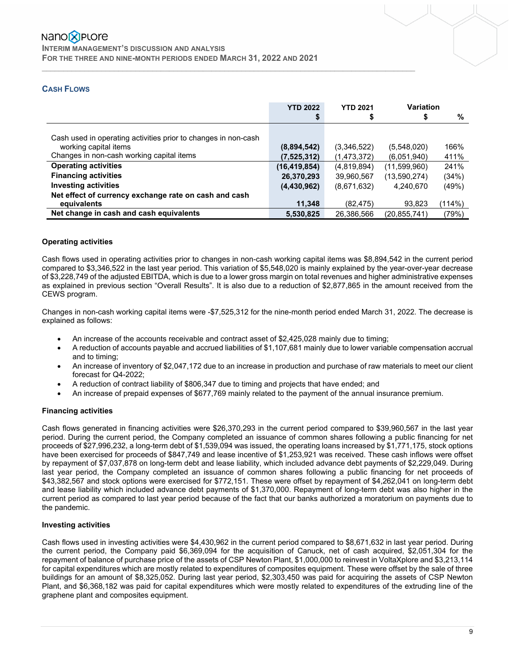**INTERIM MANAGEMENT'S DISCUSSION AND ANALYSIS FOR THE THREE AND NINE-MONTH PERIODS ENDED MARCH 31, 2022 AND 2021** 

# **CASH FLOWS**

|                                                                | <b>YTD 2022</b> | <b>YTD 2021</b> | Variation    |        |
|----------------------------------------------------------------|-----------------|-----------------|--------------|--------|
|                                                                |                 |                 | S            | %      |
|                                                                |                 |                 |              |        |
| Cash used in operating activities prior to changes in non-cash |                 |                 |              |        |
| working capital items                                          | (8,894,542)     | (3,346,522)     | (5,548,020)  | 166%   |
| Changes in non-cash working capital items                      | (7,525,312)     | (1,473,372)     | (6.051.940)  | 411%   |
| <b>Operating activities</b>                                    | (16, 419, 854)  | (4,819,894)     | (11,599,960) | 241%   |
| <b>Financing activities</b>                                    | 26,370,293      | 39,960,567      | (13,590,274) | (34%)  |
| <b>Investing activities</b>                                    | (4,430,962)     | (8,671,632)     | 4.240.670    | (49%)  |
| Net effect of currency exchange rate on cash and cash          |                 |                 |              |        |
| equivalents                                                    | 11,348          | (82, 475)       | 93.823       | (114%) |
| Net change in cash and cash equivalents                        | 5,530,825       | 26,386,566      | (20,855,741) | (79%)  |

 $\mathcal{L}_\mathcal{L} = \{ \mathcal{L}_\mathcal{L} = \{ \mathcal{L}_\mathcal{L} = \{ \mathcal{L}_\mathcal{L} = \{ \mathcal{L}_\mathcal{L} = \{ \mathcal{L}_\mathcal{L} = \{ \mathcal{L}_\mathcal{L} = \{ \mathcal{L}_\mathcal{L} = \{ \mathcal{L}_\mathcal{L} = \{ \mathcal{L}_\mathcal{L} = \{ \mathcal{L}_\mathcal{L} = \{ \mathcal{L}_\mathcal{L} = \{ \mathcal{L}_\mathcal{L} = \{ \mathcal{L}_\mathcal{L} = \{ \mathcal{L}_\mathcal{$ 

#### **Operating activities**

Cash flows used in operating activities prior to changes in non-cash working capital items was \$8,894,542 in the current period compared to \$3,346,522 in the last year period. This variation of \$5,548,020 is mainly explained by the year-over-year decrease of \$3,228,749 of the adjusted EBITDA, which is due to a lower gross margin on total revenues and higher administrative expenses as explained in previous section "Overall Results". It is also due to a reduction of \$2,877,865 in the amount received from the CEWS program.

Changes in non-cash working capital items were -\$7,525,312 for the nine-month period ended March 31, 2022. The decrease is explained as follows:

- An increase of the accounts receivable and contract asset of \$2,425,028 mainly due to timing;
- A reduction of accounts payable and accrued liabilities of \$1,107,681 mainly due to lower variable compensation accrual and to timing;
- An increase of inventory of \$2,047,172 due to an increase in production and purchase of raw materials to meet our client forecast for Q4-2022;
- A reduction of contract liability of \$806,347 due to timing and projects that have ended; and
- An increase of prepaid expenses of \$677,769 mainly related to the payment of the annual insurance premium.

#### **Financing activities**

Cash flows generated in financing activities were \$26,370,293 in the current period compared to \$39,960,567 in the last year period. During the current period, the Company completed an issuance of common shares following a public financing for net proceeds of \$27,996,232, a long-term debt of \$1,539,094 was issued, the operating loans increased by \$1,771,175, stock options have been exercised for proceeds of \$847,749 and lease incentive of \$1,253,921 was received. These cash inflows were offset by repayment of \$7,037,878 on long-term debt and lease liability, which included advance debt payments of \$2,229,049. During last year period, the Company completed an issuance of common shares following a public financing for net proceeds of \$43,382,567 and stock options were exercised for \$772,151. These were offset by repayment of \$4,262,041 on long-term debt and lease liability which included advance debt payments of \$1,370,000. Repayment of long-term debt was also higher in the current period as compared to last year period because of the fact that our banks authorized a moratorium on payments due to the pandemic.

#### **Investing activities**

Cash flows used in investing activities were \$4,430,962 in the current period compared to \$8,671,632 in last year period. During the current period, the Company paid \$6,369,094 for the acquisition of Canuck, net of cash acquired, \$2,051,304 for the repayment of balance of purchase price of the assets of CSP Newton Plant, \$1,000,000 to reinvest in VoltaXplore and \$3,213,114 for capital expenditures which are mostly related to expenditures of composites equipment. These were offset by the sale of three buildings for an amount of \$8,325,052. During last year period, \$2,303,450 was paid for acquiring the assets of CSP Newton Plant, and \$6,368,182 was paid for capital expenditures which were mostly related to expenditures of the extruding line of the graphene plant and composites equipment.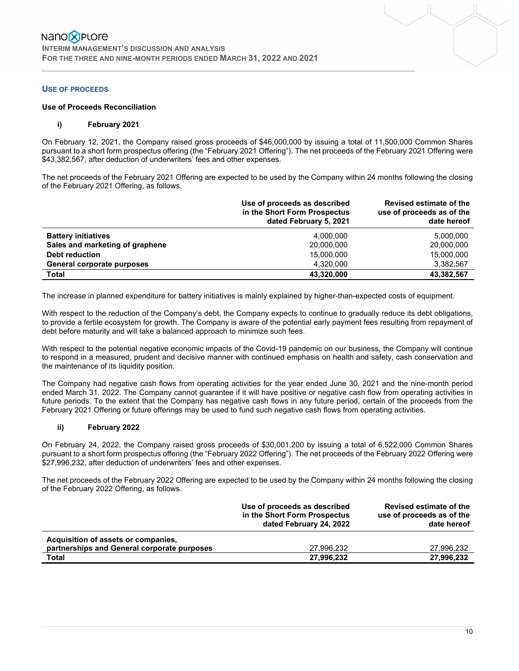#### **USE OF PROCEEDS**

#### **Use of Proceeds Reconciliation**

#### **i) February 2021**

On February 12, 2021, the Company raised gross proceeds of \$46,000,000 by issuing a total of 11,500,000 Common Shares pursuant to a short form prospectus offering (the "February 2021 Offering"). The net proceeds of the February 2021 Offering were \$43,382,567, after deduction of underwriters' fees and other expenses.

 $\mathcal{L}_\mathcal{L} = \{ \mathcal{L}_\mathcal{L} = \{ \mathcal{L}_\mathcal{L} = \{ \mathcal{L}_\mathcal{L} = \{ \mathcal{L}_\mathcal{L} = \{ \mathcal{L}_\mathcal{L} = \{ \mathcal{L}_\mathcal{L} = \{ \mathcal{L}_\mathcal{L} = \{ \mathcal{L}_\mathcal{L} = \{ \mathcal{L}_\mathcal{L} = \{ \mathcal{L}_\mathcal{L} = \{ \mathcal{L}_\mathcal{L} = \{ \mathcal{L}_\mathcal{L} = \{ \mathcal{L}_\mathcal{L} = \{ \mathcal{L}_\mathcal{$ 

The net proceeds of the February 2021 Offering are expected to be used by the Company within 24 months following the closing of the February 2021 Offering, as follows.

|                                 | Use of proceeds as described<br>in the Short Form Prospectus<br>dated February 5, 2021 | Revised estimate of the<br>use of proceeds as of the<br>date hereof |
|---------------------------------|----------------------------------------------------------------------------------------|---------------------------------------------------------------------|
| <b>Battery initiatives</b>      | 4.000.000                                                                              | 5.000.000                                                           |
| Sales and marketing of graphene | 20,000,000                                                                             | 20,000,000                                                          |
| <b>Debt reduction</b>           | 15,000,000                                                                             | 15,000,000                                                          |
| General corporate purposes      | 4,320,000                                                                              | 3,382,567                                                           |
| <b>Total</b>                    | 43,320,000                                                                             | 43,382,567                                                          |

The increase in planned expenditure for battery initiatives is mainly explained by higher-than-expected costs of equipment.

With respect to the reduction of the Company's debt, the Company expects to continue to gradually reduce its debt obligations, to provide a fertile ecosystem for growth. The Company is aware of the potential early payment fees resulting from repayment of debt before maturity and will take a balanced approach to minimize such fees.

With respect to the potential negative economic impacts of the Covid-19 pandemic on our business, the Company will continue to respond in a measured, prudent and decisive manner with continued emphasis on health and safety, cash conservation and the maintenance of its liquidity position.

The Company had negative cash flows from operating activities for the year ended June 30, 2021 and the nine-month period ended March 31, 2022. The Company cannot guarantee if it will have positive or negative cash flow from operating activities in future periods. To the extent that the Company has negative cash flows in any future period, certain of the proceeds from the February 2021 Offering or future offerings may be used to fund such negative cash flows from operating activities.

#### **ii) February 2022**

On February 24, 2022, the Company raised gross proceeds of \$30,001,200 by issuing a total of 6,522,000 Common Shares pursuant to a short form prospectus offering (the "February 2022 Offering"). The net proceeds of the February 2022 Offering were \$27,996,232, after deduction of underwriters' fees and other expenses.

The net proceeds of the February 2022 Offering are expected to be used by the Company within 24 months following the closing of the February 2022 Offering, as follows.

|                                                                                    | Use of proceeds as described<br>in the Short Form Prospectus<br>dated February 24, 2022 | <b>Revised estimate of the</b><br>use of proceeds as of the<br>date hereof |
|------------------------------------------------------------------------------------|-----------------------------------------------------------------------------------------|----------------------------------------------------------------------------|
| Acquisition of assets or companies,<br>partnerships and General corporate purposes | 27.996.232                                                                              | 27.996.232                                                                 |
| <b>Total</b>                                                                       | 27,996,232                                                                              | 27,996,232                                                                 |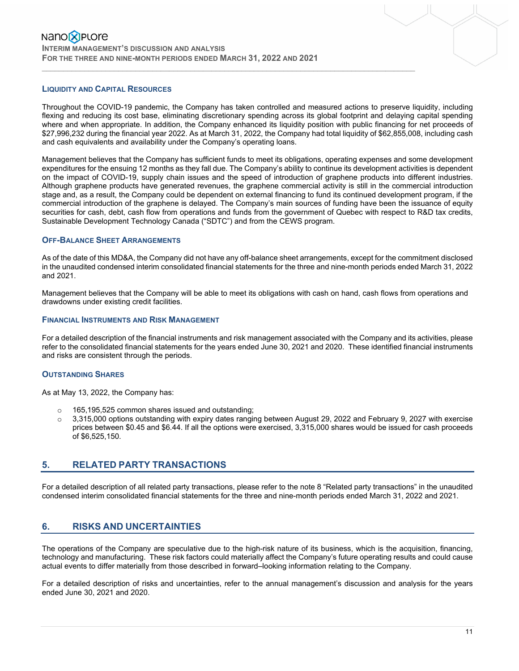#### **LIQUIDITY AND CAPITAL RESOURCES**

Throughout the COVID-19 pandemic, the Company has taken controlled and measured actions to preserve liquidity, including flexing and reducing its cost base, eliminating discretionary spending across its global footprint and delaying capital spending where and when appropriate. In addition, the Company enhanced its liquidity position with public financing for net proceeds of \$27,996,232 during the financial year 2022. As at March 31, 2022, the Company had total liquidity of \$62,855,008, including cash and cash equivalents and availability under the Company's operating loans.

 $\mathcal{L}_\mathcal{L} = \{ \mathcal{L}_\mathcal{L} = \{ \mathcal{L}_\mathcal{L} = \{ \mathcal{L}_\mathcal{L} = \{ \mathcal{L}_\mathcal{L} = \{ \mathcal{L}_\mathcal{L} = \{ \mathcal{L}_\mathcal{L} = \{ \mathcal{L}_\mathcal{L} = \{ \mathcal{L}_\mathcal{L} = \{ \mathcal{L}_\mathcal{L} = \{ \mathcal{L}_\mathcal{L} = \{ \mathcal{L}_\mathcal{L} = \{ \mathcal{L}_\mathcal{L} = \{ \mathcal{L}_\mathcal{L} = \{ \mathcal{L}_\mathcal{$ 

Management believes that the Company has sufficient funds to meet its obligations, operating expenses and some development expenditures for the ensuing 12 months as they fall due. The Company's ability to continue its development activities is dependent on the impact of COVID-19, supply chain issues and the speed of introduction of graphene products into different industries. Although graphene products have generated revenues, the graphene commercial activity is still in the commercial introduction stage and, as a result, the Company could be dependent on external financing to fund its continued development program, if the commercial introduction of the graphene is delayed. The Company's main sources of funding have been the issuance of equity securities for cash, debt, cash flow from operations and funds from the government of Quebec with respect to R&D tax credits, Sustainable Development Technology Canada ("SDTC") and from the CEWS program.

#### **OFF-BALANCE SHEET ARRANGEMENTS**

As of the date of this MD&A, the Company did not have any off-balance sheet arrangements, except for the commitment disclosed in the unaudited condensed interim consolidated financial statements for the three and nine-month periods ended March 31, 2022 and 2021.

Management believes that the Company will be able to meet its obligations with cash on hand, cash flows from operations and drawdowns under existing credit facilities.

#### **FINANCIAL INSTRUMENTS AND RISK MANAGEMENT**

For a detailed description of the financial instruments and risk management associated with the Company and its activities, please refer to the consolidated financial statements for the years ended June 30, 2021 and 2020. These identified financial instruments and risks are consistent through the periods.

#### **OUTSTANDING SHARES**

As at May 13, 2022, the Company has:

- o 165,195,525 common shares issued and outstanding;
- $\circ$  3,315,000 options outstanding with expiry dates ranging between August 29, 2022 and February 9, 2027 with exercise prices between \$0.45 and \$6.44. If all the options were exercised, 3,315,000 shares would be issued for cash proceeds of \$6,525,150.

#### **5. RELATED PARTY TRANSACTIONS**

For a detailed description of all related party transactions, please refer to the note 8 "Related party transactions" in the unaudited condensed interim consolidated financial statements for the three and nine-month periods ended March 31, 2022 and 2021.

## **6. RISKS AND UNCERTAINTIES**

The operations of the Company are speculative due to the high-risk nature of its business, which is the acquisition, financing, technology and manufacturing. These risk factors could materially affect the Company's future operating results and could cause actual events to differ materially from those described in forward–looking information relating to the Company.

For a detailed description of risks and uncertainties, refer to the annual management's discussion and analysis for the years ended June 30, 2021 and 2020.